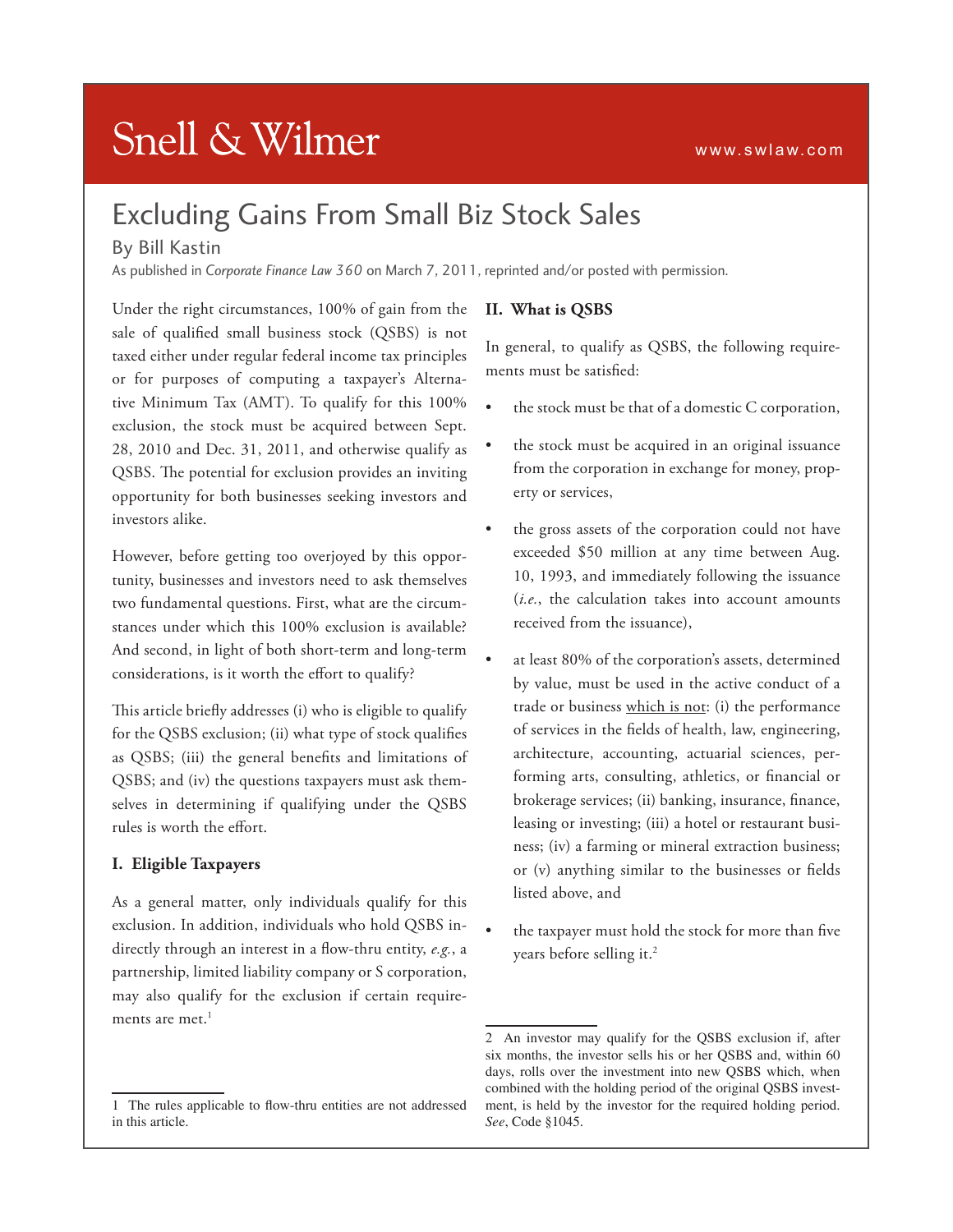# **Snell & Wilmer**

# Excluding Gains From Small Biz Stock Sales

### By Bill Kastin

As published in *Corporate Finance Law 360* on March 7, 2011, reprinted and/or posted with permission.

Under the right circumstances, 100% of gain from the sale of qualified small business stock (QSBS) is not taxed either under regular federal income tax principles or for purposes of computing a taxpayer's Alternative Minimum Tax (AMT). To qualify for this 100% exclusion, the stock must be acquired between Sept. 28, 2010 and Dec. 31, 2011, and otherwise qualify as QSBS. The potential for exclusion provides an inviting opportunity for both businesses seeking investors and investors alike.

However, before getting too overjoyed by this opportunity, businesses and investors need to ask themselves two fundamental questions. First, what are the circumstances under which this 100% exclusion is available? And second, in light of both short-term and long-term considerations, is it worth the effort to qualify?

This article briefly addresses (i) who is eligible to qualify for the QSBS exclusion; (ii) what type of stock qualifies as QSBS; (iii) the general benefits and limitations of QSBS; and (iv) the questions taxpayers must ask themselves in determining if qualifying under the QSBS rules is worth the effort.

#### **I. Eligible Taxpayers**

As a general matter, only individuals qualify for this exclusion. In addition, individuals who hold QSBS indirectly through an interest in a flow-thru entity, *e.g.*, a partnership, limited liability company or S corporation, may also qualify for the exclusion if certain requirements are met. $<sup>1</sup>$ </sup>

#### **II. What is QSBS**

In general, to qualify as QSBS, the following requirements must be satisfied:

- the stock must be that of a domestic C corporation,
- the stock must be acquired in an original issuance from the corporation in exchange for money, property or services,
- the gross assets of the corporation could not have exceeded \$50 million at any time between Aug. 10, 1993, and immediately following the issuance (*i.e.*, the calculation takes into account amounts received from the issuance),
- at least 80% of the corporation's assets, determined by value, must be used in the active conduct of a trade or business which is not: (i) the performance of services in the fields of health, law, engineering, architecture, accounting, actuarial sciences, performing arts, consulting, athletics, or financial or brokerage services; (ii) banking, insurance, finance, leasing or investing; (iii) a hotel or restaurant business; (iv) a farming or mineral extraction business; or (v) anything similar to the businesses or fields listed above, and
- the taxpayer must hold the stock for more than five years before selling it.<sup>2</sup>

<sup>1</sup> The rules applicable to flow-thru entities are not addressed in this article.

<sup>2</sup> An investor may qualify for the QSBS exclusion if, after six months, the investor sells his or her QSBS and, within 60 days, rolls over the investment into new QSBS which, when combined with the holding period of the original QSBS investment, is held by the investor for the required holding period. *See*, Code §1045.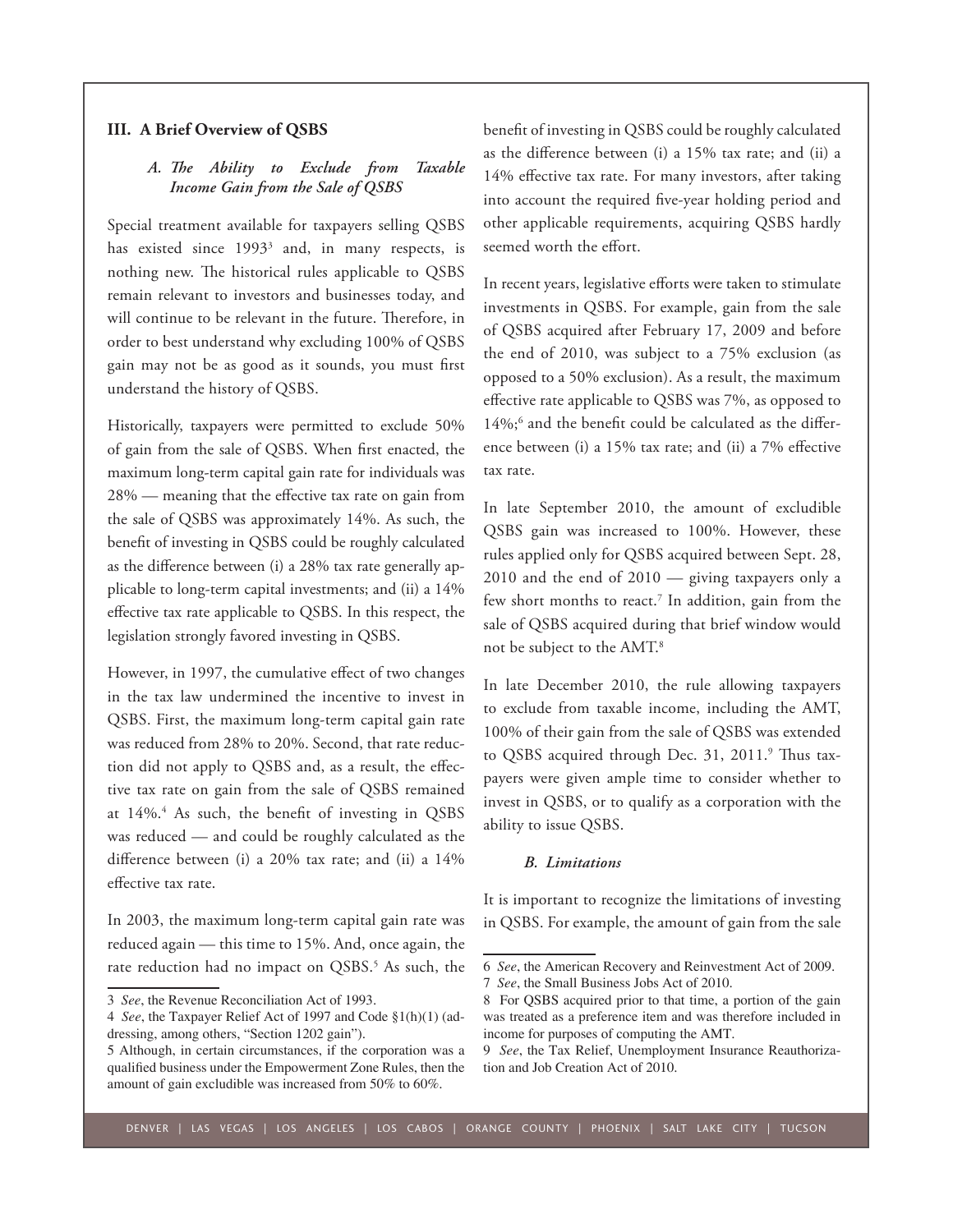#### **III. A Brief Overview of QSBS**

#### *A. The Ability to Exclude from Taxable Income Gain from the Sale of QSBS*

Special treatment available for taxpayers selling QSBS has existed since  $1993<sup>3</sup>$  and, in many respects, is nothing new. The historical rules applicable to QSBS remain relevant to investors and businesses today, and will continue to be relevant in the future. Therefore, in order to best understand why excluding 100% of QSBS gain may not be as good as it sounds, you must first understand the history of QSBS.

Historically, taxpayers were permitted to exclude 50% of gain from the sale of QSBS. When first enacted, the maximum long-term capital gain rate for individuals was 28% — meaning that the effective tax rate on gain from the sale of QSBS was approximately 14%. As such, the benefit of investing in QSBS could be roughly calculated as the difference between (i) a 28% tax rate generally applicable to long-term capital investments; and (ii) a 14% effective tax rate applicable to QSBS. In this respect, the legislation strongly favored investing in QSBS.

However, in 1997, the cumulative effect of two changes in the tax law undermined the incentive to invest in QSBS. First, the maximum long-term capital gain rate was reduced from 28% to 20%. Second, that rate reduction did not apply to QSBS and, as a result, the effective tax rate on gain from the sale of QSBS remained at 14%.<sup>4</sup> As such, the benefit of investing in QSBS was reduced — and could be roughly calculated as the difference between (i) a 20% tax rate; and (ii) a 14% effective tax rate.

In 2003, the maximum long-term capital gain rate was reduced again — this time to 15%. And, once again, the rate reduction had no impact on QSBS.<sup>5</sup> As such, the benefit of investing in QSBS could be roughly calculated as the difference between (i) a 15% tax rate; and (ii) a 14% effective tax rate. For many investors, after taking into account the required five-year holding period and other applicable requirements, acquiring QSBS hardly seemed worth the effort.

In recent years, legislative efforts were taken to stimulate investments in QSBS. For example, gain from the sale of QSBS acquired after February 17, 2009 and before the end of 2010, was subject to a 75% exclusion (as opposed to a 50% exclusion). As a result, the maximum effective rate applicable to QSBS was 7%, as opposed to 14%;<sup>6</sup> and the benefit could be calculated as the difference between (i) a 15% tax rate; and (ii) a 7% effective tax rate.

In late September 2010, the amount of excludible QSBS gain was increased to 100%. However, these rules applied only for QSBS acquired between Sept. 28, 2010 and the end of 2010 — giving taxpayers only a few short months to react.<sup>7</sup> In addition, gain from the sale of QSBS acquired during that brief window would not be subject to the AMT.8

In late December 2010, the rule allowing taxpayers to exclude from taxable income, including the AMT, 100% of their gain from the sale of QSBS was extended to QSBS acquired through Dec. 31, 2011.<sup>9</sup> Thus taxpayers were given ample time to consider whether to invest in QSBS, or to qualify as a corporation with the ability to issue QSBS.

#### *B. Limitations*

It is important to recognize the limitations of investing in QSBS. For example, the amount of gain from the sale

<sup>3</sup> *See*, the Revenue Reconciliation Act of 1993.

<sup>4</sup> *See*, the Taxpayer Relief Act of 1997 and Code §1(h)(1) (addressing, among others, "Section 1202 gain").

<sup>5</sup> Although, in certain circumstances, if the corporation was a qualified business under the Empowerment Zone Rules, then the amount of gain excludible was increased from 50% to 60%.

<sup>6</sup> *See*, the American Recovery and Reinvestment Act of 2009.

<sup>7</sup> *See*, the Small Business Jobs Act of 2010.

<sup>8</sup> For QSBS acquired prior to that time, a portion of the gain was treated as a preference item and was therefore included in income for purposes of computing the AMT.

<sup>9</sup> *See*, the Tax Relief, Unemployment Insurance Reauthorization and Job Creation Act of 2010.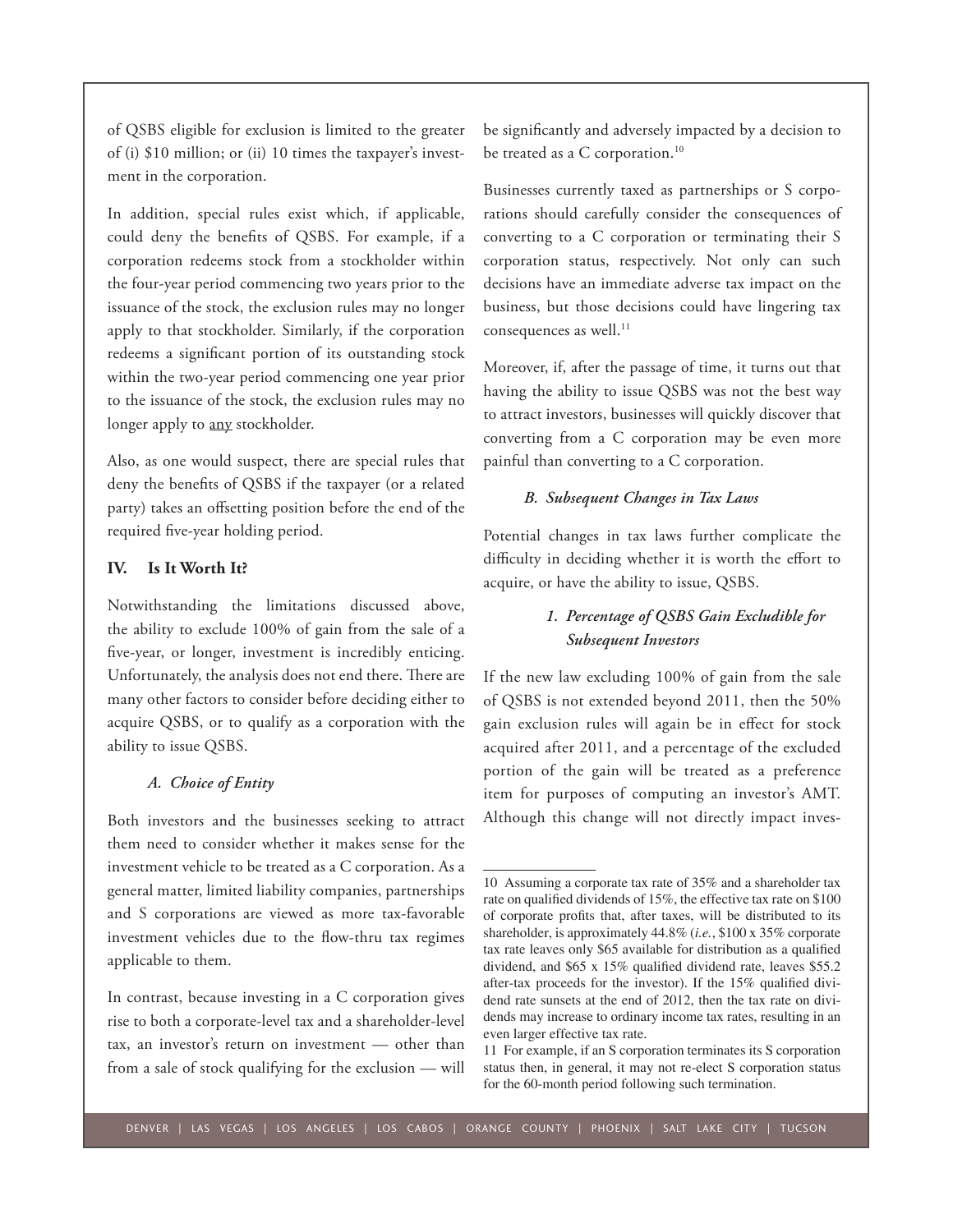of QSBS eligible for exclusion is limited to the greater of (i) \$10 million; or (ii) 10 times the taxpayer's investment in the corporation.

In addition, special rules exist which, if applicable, could deny the benefits of QSBS. For example, if a corporation redeems stock from a stockholder within the four-year period commencing two years prior to the issuance of the stock, the exclusion rules may no longer apply to that stockholder. Similarly, if the corporation redeems a significant portion of its outstanding stock within the two-year period commencing one year prior to the issuance of the stock, the exclusion rules may no longer apply to any stockholder.

Also, as one would suspect, there are special rules that deny the benefits of QSBS if the taxpayer (or a related party) takes an offsetting position before the end of the required five-year holding period.

#### **IV. Is It Worth It?**

Notwithstanding the limitations discussed above, the ability to exclude 100% of gain from the sale of a five-year, or longer, investment is incredibly enticing. Unfortunately, the analysis does not end there. There are many other factors to consider before deciding either to acquire QSBS, or to qualify as a corporation with the ability to issue QSBS.

#### *A. Choice of Entity*

Both investors and the businesses seeking to attract them need to consider whether it makes sense for the investment vehicle to be treated as a C corporation. As a general matter, limited liability companies, partnerships and S corporations are viewed as more tax-favorable investment vehicles due to the flow-thru tax regimes applicable to them.

In contrast, because investing in a C corporation gives rise to both a corporate-level tax and a shareholder-level tax, an investor's return on investment — other than from a sale of stock qualifying for the exclusion — will be significantly and adversely impacted by a decision to be treated as a C corporation.<sup>10</sup>

Businesses currently taxed as partnerships or S corporations should carefully consider the consequences of converting to a C corporation or terminating their S corporation status, respectively. Not only can such decisions have an immediate adverse tax impact on the business, but those decisions could have lingering tax consequences as well.<sup>11</sup>

Moreover, if, after the passage of time, it turns out that having the ability to issue QSBS was not the best way to attract investors, businesses will quickly discover that converting from a C corporation may be even more painful than converting to a C corporation.

#### *B. Subsequent Changes in Tax Laws*

Potential changes in tax laws further complicate the difficulty in deciding whether it is worth the effort to acquire, or have the ability to issue, QSBS.

## *1. Percentage of QSBS Gain Excludible for Subsequent Investors*

If the new law excluding 100% of gain from the sale of QSBS is not extended beyond 2011, then the 50% gain exclusion rules will again be in effect for stock acquired after 2011, and a percentage of the excluded portion of the gain will be treated as a preference item for purposes of computing an investor's AMT. Although this change will not directly impact inves-

<sup>10</sup> Assuming a corporate tax rate of 35% and a shareholder tax rate on qualified dividends of 15%, the effective tax rate on \$100 of corporate profits that, after taxes, will be distributed to its shareholder, is approximately 44.8% (*i.e.*, \$100 x 35% corporate tax rate leaves only \$65 available for distribution as a qualified dividend, and \$65 x 15% qualified dividend rate, leaves \$55.2 after-tax proceeds for the investor). If the 15% qualified dividend rate sunsets at the end of 2012, then the tax rate on dividends may increase to ordinary income tax rates, resulting in an even larger effective tax rate.

<sup>11</sup> For example, if an S corporation terminates its S corporation status then, in general, it may not re-elect S corporation status for the 60-month period following such termination.